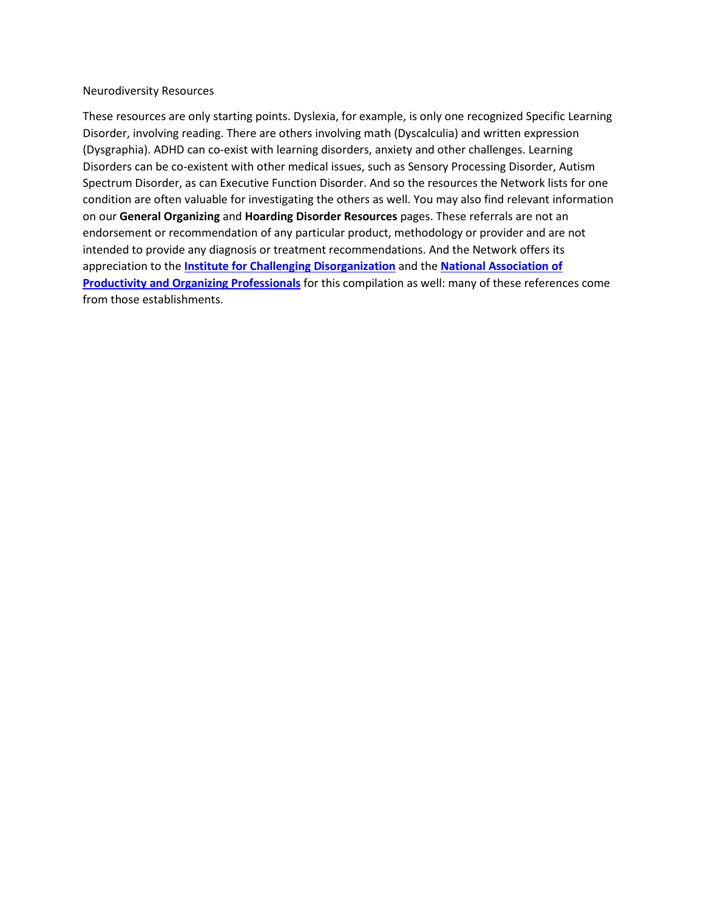#### Neurodiversity Resources

These resources are only starting points. Dyslexia, for example, is only one recognized Specific Learning Disorder, involving reading. There are others involving math (Dyscalculia) and written expression (Dysgraphia). ADHD can co-exist with learning disorders, anxiety and other challenges. Learning Disorders can be co-existent with other medical issues, such as Sensory Processing Disorder, Autism Spectrum Disorder, as can Executive Function Disorder. And so the resources the Network lists for one condition are often valuable for investigating the others as well. You may also find relevant information on our **General Organizing** and **Hoarding Disorder Resources** pages. These referrals are not an endorsement or recommendation of any particular product, methodology or provider and are not intended to provide any diagnosis or treatment recommendations. And the Network offers its appreciation to the **[Institute for Challenging Disorganization](https://www.challengingdisorganization.org/)** and the **[National Association of](https://www.napo.net/)  [Productivity and Organizing Professionals](https://www.napo.net/)** for this compilation as well: many of these references come from those establishments.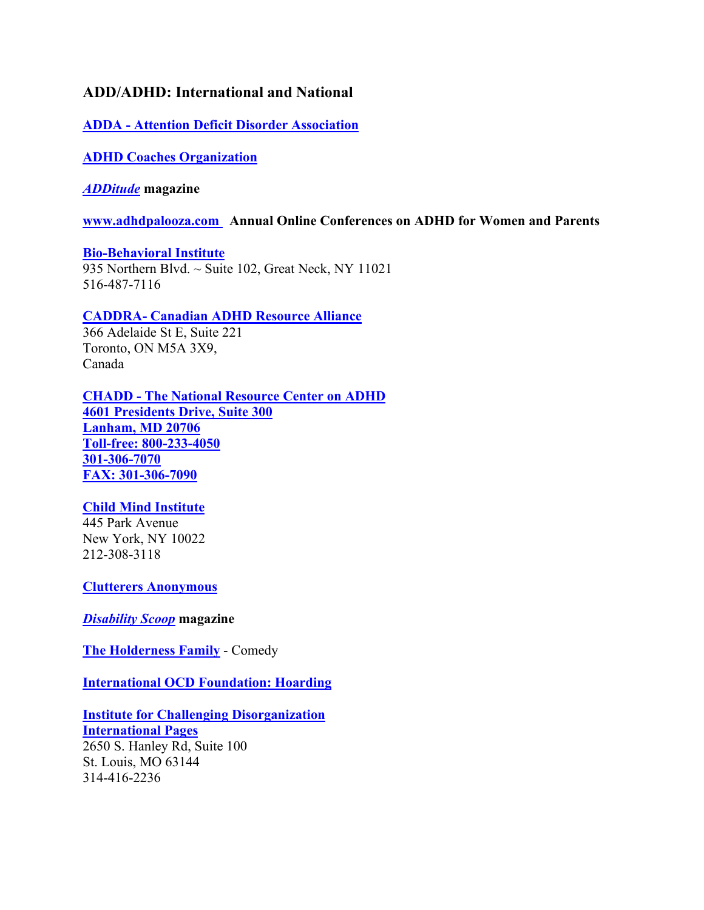# **ADD/ADHD: International and National**

**ADDA - [Attention Deficit Disorder Association](https://add.org/)**

**[ADHD Coaches Organization](https://www.adhdcoaches.org/)**

*[ADDitude](https://www.additudemag.com/)* **magazine**

**[www.adhdpalooza.com](http://www.adhdpalooza.com/) Annual Online Conferences on ADHD for Women and Parents**

**[Bio-Behavioral Institute](https://biobehavioralinstitute.com/)** 935 Northern Blvd. ~ Suite 102, Great Neck, NY 11021 516-487-7116

## **CADDRA- [Canadian ADHD Resource Alliance](https://www.caddra.ca/)**

366 Adelaide St E, Suite 221 Toronto, ON M5A 3X9, Canada

**CHADD - [The National Resource Center on ADHD](http://www.chadd.org/) [4601 Presidents Drive, Suite 300](http://www.chadd.org/) [Lanham, MD 20706](http://www.chadd.org/) [Toll-free: 800-233-4050](http://www.chadd.org/) [301-306-7070](http://www.chadd.org/) [FAX: 301-306-7090](http://www.chadd.org/)**

# **[Child Mind Institute](https://childmind.org/)**

445 Park Avenue New York, NY 10022 212-308-3118

**[Clutterers Anonymous](https://clutterersanonymous.org/)**

*[Disability Scoop](https://www.disabilityscoop.com/)* **magazine**

**[The Holderness Family](https://www.youtube.com/user/VisitTheGreenroom/search?query=add)** - Comedy

**[International OCD Foundation: Hoarding](https://hoarding.iocdf.org/)**

**[Institute for Challenging Disorganization](https://www.challengingdisorganization.org/) [International Pages](https://icdorg.memberclicks.net/international)** 2650 S. Hanley Rd, Suite 100 St. Louis, MO 63144 314-416-2236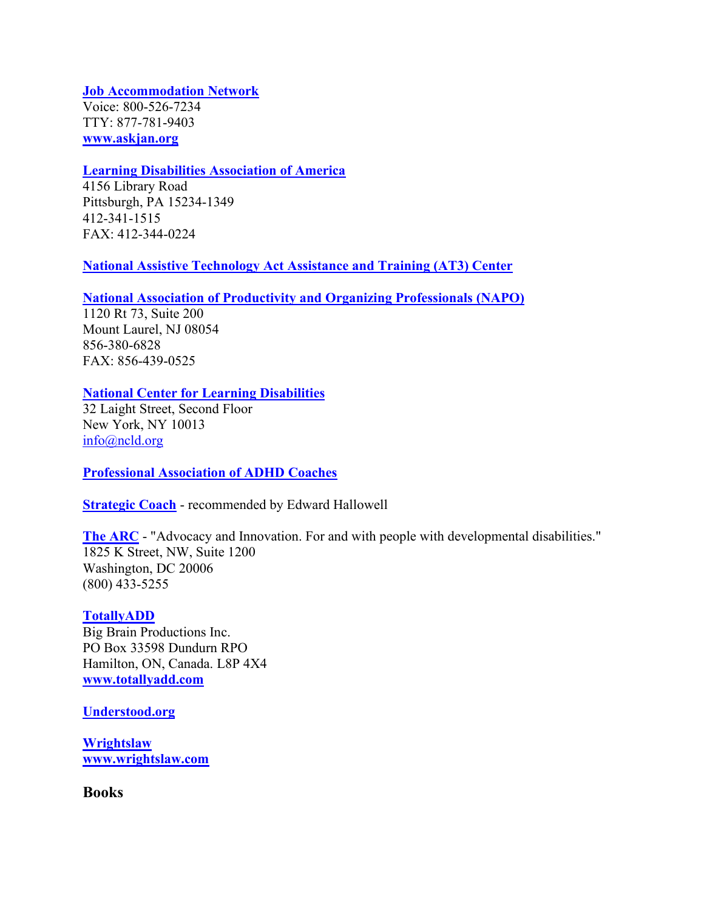**[Job Accommodation Network](https://askjan.org/about-us/index.cfm)** Voice: 800-526-7234 TTY: 877-781-9403 **[www.askjan.org](https://askjan.org/about-us/index.cfm)**

### **[Learning Disabilities Association of America](https://ldaamerica.org/)**

4156 Library Road Pittsburgh, PA 15234-1349 412-341-1515 FAX: 412-344-0224

#### **[National Assistive Technology Act Assistance and Training \(AT3\) Center](https://www.at3center.net/)**

#### **[National Association of Productivity and Organizing Professionals \(NAPO\)](http://www.napo.net/)**

1120 Rt 73, Suite 200 Mount Laurel, NJ 08054 856-380-6828 FAX: 856-439-0525

### **[National Center for Learning Disabilities](https://www.ncld.org/)**

32 Laight Street, Second Floor New York, NY 10013 [info@ncld.org](mailto:info@ncld.org)

**[Professional Association of ADHD Coaches](https://paaccoaches.org/)**

**[Strategic Coach](https://www.strategiccoach.com/)** - recommended by Edward Hallowell

**[The ARC](https://thearc.org/)** - "Advocacy and Innovation. For and with people with developmental disabilities." 1825 K Street, NW, Suite 1200 Washington, DC 20006 (800) 433-5255

#### **[TotallyADD](https://totallyadd.com/)**

Big Brain Productions Inc. PO Box 33598 Dundurn RPO Hamilton, ON, Canada. L8P 4X4 **[www.totallyadd.com](https://totallyadd.com/)**

#### **[Understood.org](https://www.understood.org/en/about)**

**[Wrightslaw](https://www.wrightslaw.com/) [www.wrightslaw.com](https://www.wrightslaw.com/)**

**Books**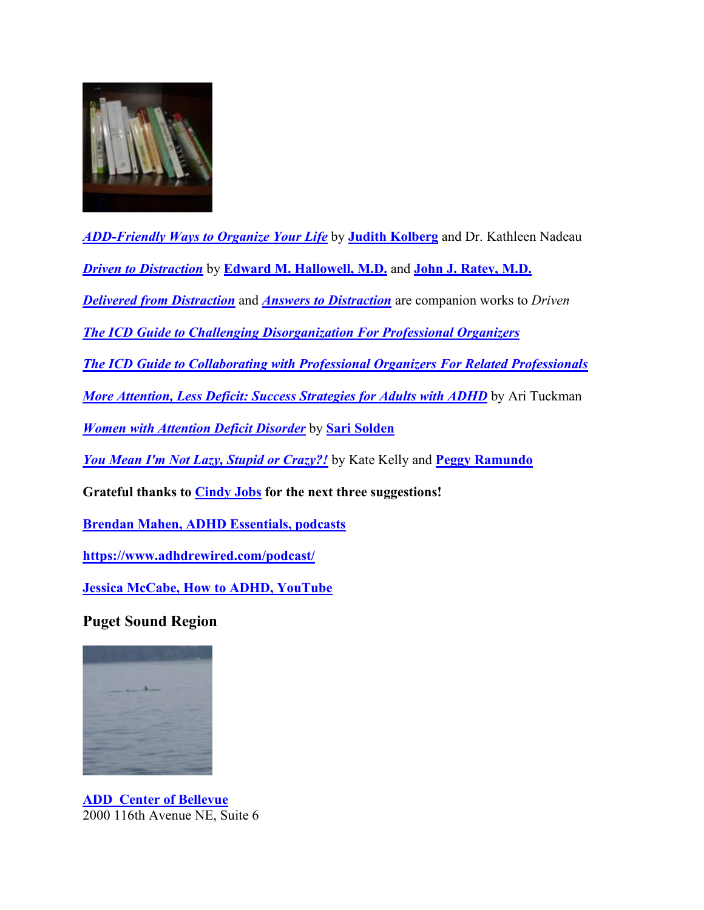

*[ADD-Friendly Ways to Organize Your Life](https://www.amazon.com/ADD-Friendly-Ways-Organize-Your-Life/dp/1583913580/ref=sr_1_4?s=books&ie=UTF8&qid=1512622196&sr=1-4&keywords=add)* by **[Judith Kolberg](http://fileheads.net/)** and Dr. Kathleen Nadeau

*[Driven to Distraction](https://www.amazon.com/Driven-Distraction-Revised-Recognizing-Attention/dp/0307743152)* by **[Edward M. Hallowell, M.D.](http://www.drhallowell.com/)** and **[John J. Ratey, M.D.](http://www.johnratey.com/)**

*[Delivered from Distraction](https://www.amazon.com/Delivered-Distraction-Getting-Attention-Disorder/dp/0345442318/ref=sr_1_1?ie=UTF8&qid=1517768754&sr=8-1&keywords=delivered+from+distraction)* and *[Answers to Distraction](https://www.amazon.com/Answers-Distraction-Edward-Hallowell-M-D/dp/0307456390/ref=sr_1_1?s=books&ie=UTF8&qid=1520290891&sr=1-1&keywords=answers+to+distraction)* are companion works to *Driven*

*[The ICD Guide to Challenging Disorganization For Professional Organizers](https://www.amazon.com/ICD-Guide-Challenging-Disorganization-Professional/dp/1937933016/ref=sr_1_1?crid=229ZEH6XDMOLU&keywords=institute+for+challenging+disorganization&qid=1640289131&s=books&sprefix=institute+for+challenging+disorganization%2Cstripbooks%2C116&sr=1-1)*

*[The ICD Guide to Collaborating with Professional Organizers For Related Professionals](https://www.amazon.com/Guide-Collaborating-Professional-Organizers-Professionals/dp/1937933008/ref=sr_1_2?crid=229ZEH6XDMOLU&keywords=institute+for+challenging+disorganization&qid=1640289244&s=books&sprefix=institute+for+challenging+disorganization%2Cstripbooks%2C116&sr=1-2)*

*[More Attention, Less Deficit: Success Strategies for Adults with ADHD](https://www.amazon.com/More-Attention-Less-Deficit-Strategies/dp/1886941742)* by Ari Tuckman

*[Women with Attention Deficit Disorder](https://www.amazon.com/Women-Attention-Deficit-Disorder-Differences/dp/0978590929/ref=sr_1_22?s=books&ie=UTF8&qid=1512622687&sr=1-22&keywords=add)* by **[Sari Solden](https://www.soldenfrank.com/)**

*[You Mean I'm Not Lazy, Stupid or Crazy?!](https://www.amazon.com/You-Mean-Lazy-Stupid-Crazy/dp/0743264487/ref=sr_1_18?s=books&ie=UTF8&qid=1512622358&sr=1-18&keywords=add)* by Kate Kelly and **[Peggy Ramundo](http://addcoaching.com/)**

**Grateful thanks to [Cindy Jobs](https://www.cindyjobs.com/) for the next three suggestions!**

**[Brendan Mahen, ADHD Essentials, podcasts](https://www.adhdessentials.com/podcasts/)**

**https://www.adhdrewired.com/podcast/**

**[Jessica McCabe, How to ADHD, YouTube](https://www.youtube.com/watch?v=cx13a2-unjE)**

**Puget Sound Region**



**ADD [Center of Bellevue](https://www.addcenterofbellevue.com/home.html)** 2000 116th Avenue NE, Suite 6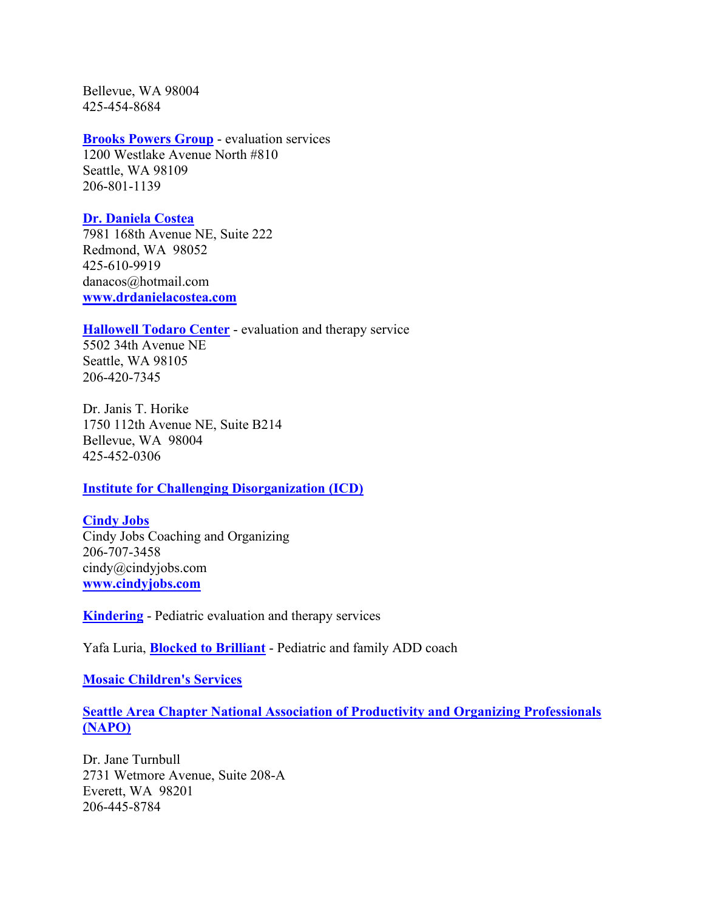Bellevue, WA 98004 425-454-8684

### **[Brooks Powers Group](http://brookspowers.com/)** - evaluation services

1200 Westlake Avenue North #810 Seattle, WA 98109 206-801-1139

#### **[Dr. Daniela Costea](https://www.drdanielacostea.com/)**

7981 168th Avenue NE, Suite 222 Redmond, WA 98052 425-610-9919 danacos@hotmail.com **[www.drdanielacostea.com](https://www.drdanielacostea.com/)**

### **[Hallowell Todaro Center](https://www.hallowelltodarocenter.org/)** - evaluation and therapy service

5502 34th Avenue NE Seattle, WA 98105 206-420-7345

Dr. Janis T. Horike 1750 112th Avenue NE, Suite B214 Bellevue, WA 98004 425-452-0306

### **[Institute for Challenging Disorganization \(ICD\)](https://www.challengingdisorganization.org/)**

**[Cindy Jobs](https://www.cindyjobs.com/)** Cindy Jobs Coaching and Organizing 206-707-3458 cindy@cindyjobs.com **[www.cindyjobs.com](https://www.cindyjobs.com/)**

**[Kindering](https://kindering.org/)** - Pediatric evaluation and therapy services

Yafa Luria, **[Blocked to Brilliant](http://blockedtobrilliant.com/)** - Pediatric and family ADD coach

**[Mosaic Children's Services](http://www.mosaicrehab.com/)**

## **[Seattle Area Chapter National Association of Productivity and Organizing Professionals](https://seattlenapo.com/)  [\(NAPO\)](https://seattlenapo.com/)**

Dr. Jane Turnbull 2731 Wetmore Avenue, Suite 208-A Everett, WA 98201 206-445-8784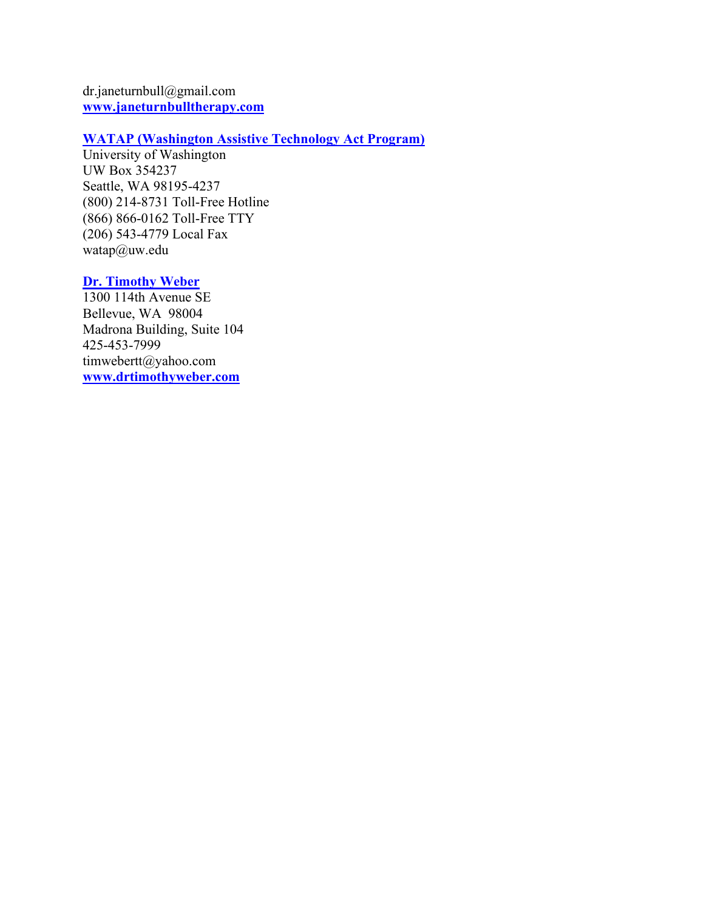dr.janeturnbull@gmail.com **[www.janeturnbulltherapy.com](https://www.janeturnbulltherapy.com/)**

# **[WATAP \(Washington Assistive Technology Act Program\)](http://watap.org/)**

University of Washington UW Box 354237 Seattle, WA 98195-4237 (800) 214-8731 Toll-Free Hotline (866) 866-0162 Toll-Free TTY (206) 543-4779 Local Fax watap@uw.edu

# **[Dr. Timothy Weber](http://www.drtimothyweber.com/)**

1300 114th Avenue SE Bellevue, WA 98004 Madrona Building, Suite 104 425-453-7999 timwebertt@yahoo.com **[www.drtimothyweber.com](http://www.drtimothyweber.com/)**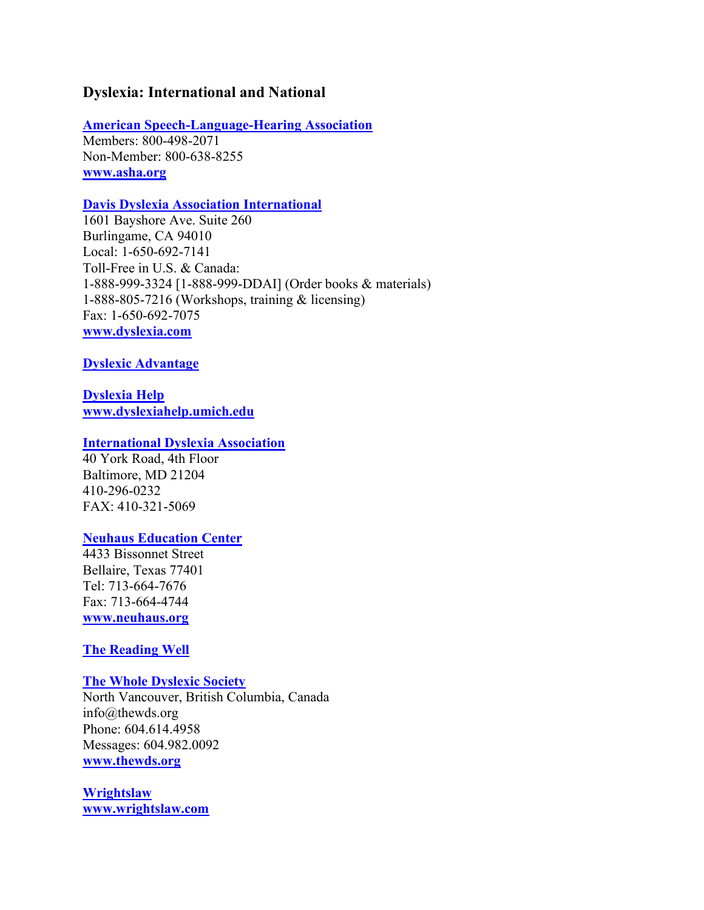## **Dyslexia: International and National**

**[American Speech-Language-Hearing Association](https://www.asha.org/)**

Members: 800-498-2071 Non-Member: 800-638-8255 **[www.asha.org](https://www.asha.org/)**

### **[Davis Dyslexia Association International](https://www.dyslexia.com/)**

1601 Bayshore Ave. Suite 260 Burlingame, CA 94010 Local: 1-650-692-7141 Toll-Free in U.S. & Canada: 1-888-999-3324 [1-888-999-DDAI] (Order books & materials) 1-888-805-7216 (Workshops, training & licensing) Fax: 1-650-692-7075 **[www.dyslexia.com](https://www.dyslexia.com/)**

### **[Dyslexic Advantage](https://www.dyslexicadvantage.org/)**

**[Dyslexia Help](http://dyslexiahelp.umich.edu/) [www.dyslexiahelp.umich.edu](http://dyslexiahelp.umich.edu/)**

### **[International Dyslexia Association](https://dyslexiaida.org/)**

40 York Road, 4th Floor Baltimore, MD 21204 410-296-0232 FAX: 410-321-5069

### **[Neuhaus Education Center](https://www.neuhaus.org/)**

4433 Bissonnet Street Bellaire, Texas 77401 Tel: 713-664-7676 Fax: 713-664-4744 **[www.neuhaus.org](https://www.neuhaus.org/)**

### **[The Reading Well](https://www.dyslexia-reading-well.com/)**

#### **[The Whole Dyslexic Society](https://www.thewds.org/)**

North Vancouver, British Columbia, Canada info@thewds.org Phone: 604.614.4958 Messages: 604.982.0092 **[www.thewds.org](https://www.thewds.org/)**

**[Wrightslaw](https://www.wrightslaw.com/) [www.wrightslaw.com](https://www.wrightslaw.com/)**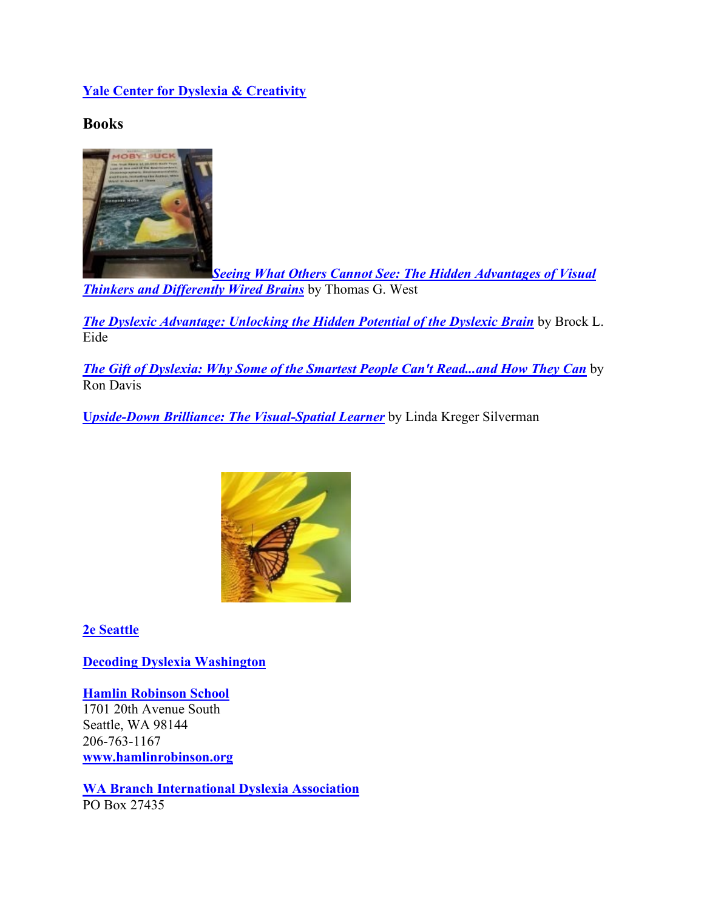# **[Yale Center for Dyslexia & Creativity](http://dyslexia.yale.edu/)**

**Books**



*[Seeing What Others Cannot See: The Hidden Advantages of Visual](https://www.amazon.com/s?k=seeing+what+others+cannot+see&i=stripbooks&crid=1UTOUGG7UJQXC&sprefix=seeing+what+others+cannot%2Cstripbooks%2C224&ref=nb_sb_ss_i_1_25)  [Thinkers and Differently Wired Brains](https://www.amazon.com/s?k=seeing+what+others+cannot+see&i=stripbooks&crid=1UTOUGG7UJQXC&sprefix=seeing+what+others+cannot%2Cstripbooks%2C224&ref=nb_sb_ss_i_1_25)* by Thomas G. West

*[The Dyslexic Advantage: Unlocking the Hidden Potential of the Dyslexic Brain](https://www.amazon.com/s?k=eide+dyslexic&i=stripbooks&ref=nb_sb_noss)* by Brock L. **Eide** 

*[The Gift of Dyslexia: Why Some of the Smartest People Can't Read...and How They Can](https://www.amazon.com/Gift-Dyslexia-Smartest-Revised-Expanded/dp/0399535667)* by Ron Davis

**U***[pside-Down Brilliance: The Visual-Spatial Learner](https://www.amazon.com/s?k=upside+down+brilliance&i=stripbooks&ref=nb_sb_noss_2)* by Linda Kreger Silverman



**[2e Seattle](https://www.2eseattle.com/)**

**[Decoding Dyslexia Washington](https://www.facebook.com/decodingdyslexia.wa)**

**[Hamlin Robinson School](https://www.hamlinrobinson.org/)** 1701 20th Avenue South Seattle, WA 98144 206-763-1167 **[www.hamlinrobinson.org](https://www.hamlinrobinson.org/)**

**[WA Branch International Dyslexia Association](https://www.wabida.org/)** PO Box 27435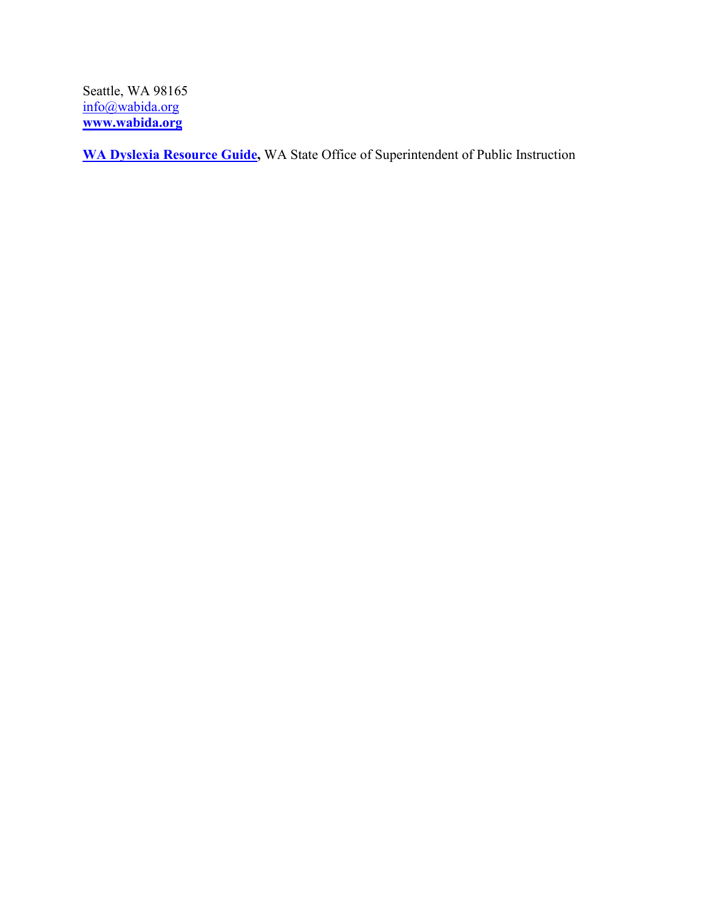Seattle, WA 98165 [info@wabida.org](mailto:info@wabida.org) **[www.wabida.org](https://www.wabida.org/)**

**[WA Dyslexia Resource Guide,](https://www.k12.wa.us/about-ospi/workgroups-committees/currently-meeting-workgroups/washington-state-dyslexia-advisory-council/washington-state-dyslexia-resource-guide)** WA State Office of Superintendent of Public Instruction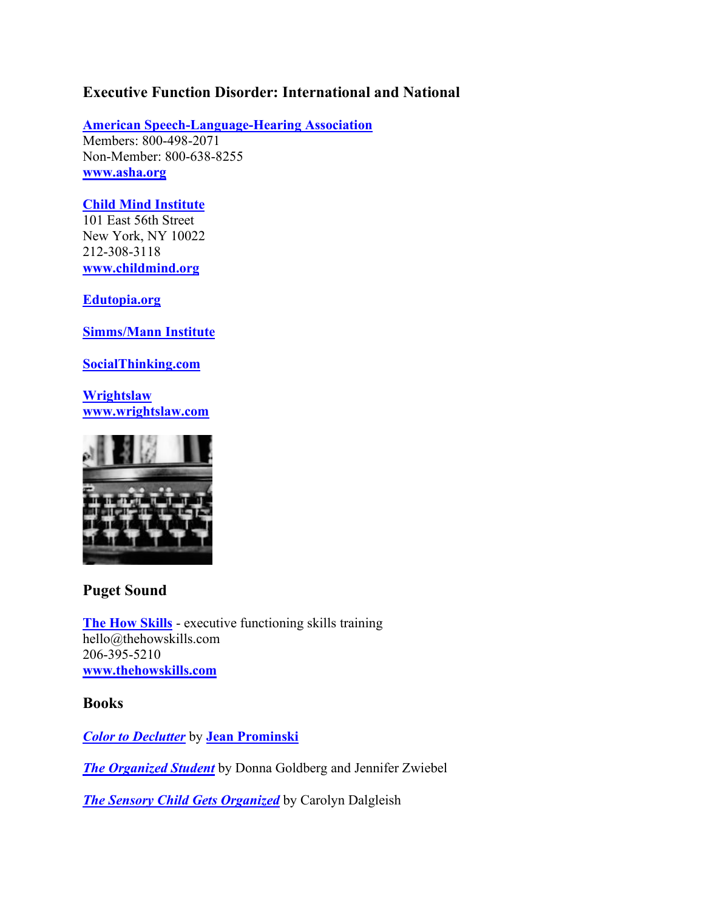# **Executive Function Disorder: International and National**

**[American Speech-Language-Hearing Association](https://www.asha.org/)** Members: 800-498-2071 Non-Member: 800-638-8255 **[www.asha.org](https://www.asha.org/)**

## **[Child Mind Institute](https://childmind.org/)**

101 East 56th Street New York, NY 10022 212-308-3118 **[www.childmind.org](https://childmind.org/)**

**[Edutopia.org](https://www.edutopia.org/)**

**[Simms/Mann Institute](http://www.simmsmanninstitute.org/)**

**[SocialThinking.com](https://www.socialthinking.com/)**

**[Wrightslaw](https://www.wrightslaw.com/) [www.wrightslaw.com](https://www.wrightslaw.com/)**



# **Puget Sound**

**[The How Skills](https://www.thehowskills.com/)** - executive functioning skills training hello@thehowskills.com 206-395-5210 **[www.thehowskills.com](https://www.thehowskills.com/)**

**Books**

*[Color to Declutter](https://jeanprominski.com/products/color-to-declutter-pre-order-available-mid-february-2020)* by **[Jean Prominski](https://seattlesparkle.com/)**

*[The Organized Student](https://www.amazon.com/Organized-Student-Teaching-Children-Success/dp/0743270207/ref=as_li_ss_tl?crid=2JJ4OII7WNH6H&keywords=the+organized+student&qid=1583046477&sprefix=,aps,175&sr=8-2&linkCode=sl1&tag=bestresultsor-20&linkId=973b35a5f383e4d52d69881b3fdfd98e&language=en_US)* by Donna Goldberg and Jennifer Zwiebel

*[The Sensory Child Gets Organized](https://www.amazon.com/Sensory-Child-Gets-Organized-Distracted/dp/B07NVW6L5N/ref=sr_1_11?crid=3FGT8P4F8UOGF&keywords=the+sensory+child&qid=1640292663&s=books&sprefix=the+sensory+child%2Cstripbooks%2C135&sr=1-11)* by Carolyn Dalgleish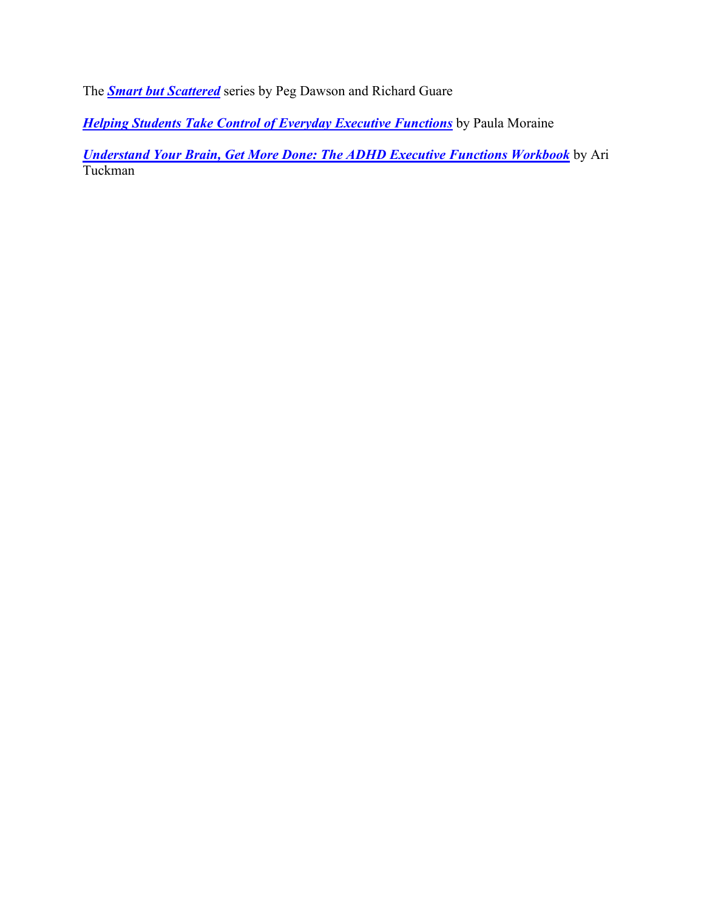The *[Smart but Scattered](https://www.smartbutscatteredkids.com/)* series by Peg Dawson and Richard Guare

**[Helping Students Take Control of Everyday Executive Functions](https://www.amazon.com/Helping-Students-Everyday-Executive-Functions/dp/1849058849)** by Paula Moraine

*[Understand Your Brain, Get More Done: The ADHD Executive Functions Workbook](http://adultadhdbook.com/new-workbook/)* by Ari Tuckman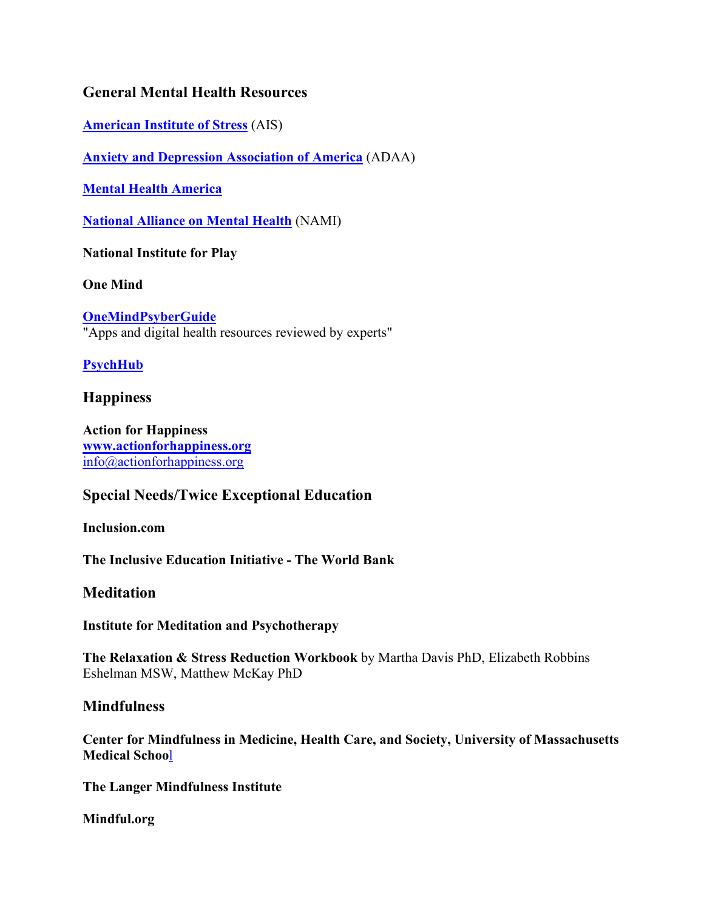# **General Mental Health Resources**

**[American Institute of Stress](https://www.stress.org/)** (AIS)

**[Anxiety and Depression Association of America](https://adaa.org/)** (ADAA)

**[Mental Health America](https://mhanational.org/)**

**[National Alliance on Mental Health](https://www.nami.org/Home)** (NAMI)

**[National Institute for Play](http://www.nifplay.org/)**

**[One Mind](https://onemind.org/)**

**[OneMindPsyberGuide](https://onemindpsyberguide.org/)** "Apps and digital health resources reviewed by experts"

**[PsychHub](https://psychhub.com/?utm_medium=partner-marketing&utm_source=psyberguide&utm_campaign=organic-aquisition&utm_content=logo)**

## **Happiness**

**[Action for Happiness](https://www.actionforhappiness.org/) [www.actionforhappiness.org](https://www.actionforhappiness.org/)** [info@actionforhappiness.org](mailto:info@actionforhappiness.org)

# **Special Needs/Twice Exceptional Education**

**[Inclusion.com](https://inclusion.com/)**

**[The Inclusive Education Initiative -](https://www.worldbank.org/en/topic/socialdevelopment/brief/inclusive-education-initiative-transforming-education-for-children-with-disabilities) The World Bank**

## **Meditation**

**[Institute for Meditation and Psychotherapy](https://www.meditationandpsychotherapy.org/)**

**[The Relaxation & Stress Reduction Workbook](https://www.amazon.com/Relaxation-Reduction-Workbook-Harbinger-Self-Help/dp/1684033349/ref=dp_ob_image_bk)** by Martha Davis PhD, Elizabeth Robbins Eshelman MSW, Matthew McKay PhD

## **Mindfulness**

**[Center for Mindfulness in Medicine, Health Care, and Society, University of Massachusetts](https://www.umassmed.edu/cfm/)  [Medical Schoo](https://www.umassmed.edu/cfm/)**l

**[The Langer Mindfulness Institute](http://langermindfulnessinstitute.com/)**

**[Mindful.org](https://www.mindful.org/)**